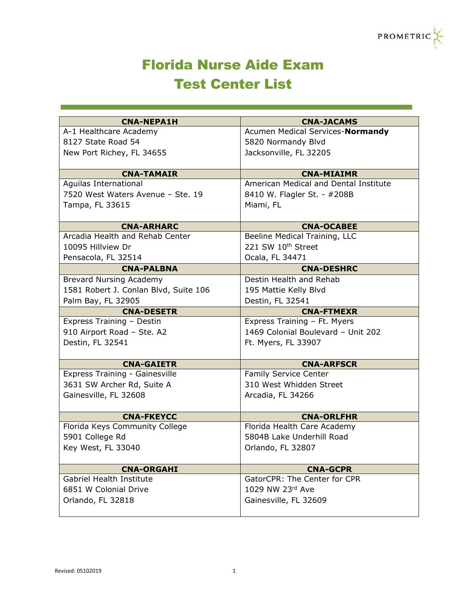

## Florida Nurse Aide Exam Test Center List

| <b>CNA-NEPA1H</b>                     | <b>CNA-JACAMS</b>                     |
|---------------------------------------|---------------------------------------|
| A-1 Healthcare Academy                | Acumen Medical Services-Normandy      |
| 8127 State Road 54                    | 5820 Normandy Blvd                    |
| New Port Richey, FL 34655             | Jacksonville, FL 32205                |
|                                       |                                       |
| <b>CNA-TAMAIR</b>                     | <b>CNA-MIAIMR</b>                     |
| Aguilas International                 | American Medical and Dental Institute |
| 7520 West Waters Avenue - Ste. 19     | 8410 W. Flagler St. - #208B           |
| Tampa, FL 33615                       | Miami, FL                             |
|                                       |                                       |
| <b>CNA-ARHARC</b>                     | <b>CNA-OCABEE</b>                     |
| Arcadia Health and Rehab Center       | Beeline Medical Training, LLC         |
| 10095 Hillview Dr                     | 221 SW 10th Street                    |
| Pensacola, FL 32514                   | Ocala, FL 34471                       |
| <b>CNA-PALBNA</b>                     | <b>CNA-DESHRC</b>                     |
| <b>Brevard Nursing Academy</b>        | Destin Health and Rehab               |
| 1581 Robert J. Conlan Blvd, Suite 106 | 195 Mattie Kelly Blvd                 |
| Palm Bay, FL 32905                    | Destin, FL 32541                      |
| <b>CNA-DESETR</b>                     | <b>CNA-FTMEXR</b>                     |
| Express Training - Destin             | Express Training - Ft. Myers          |
| 910 Airport Road - Ste. A2            | 1469 Colonial Boulevard - Unit 202    |
| Destin, FL 32541                      | Ft. Myers, FL 33907                   |
|                                       |                                       |
| <b>CNA-GAIETR</b>                     | <b>CNA-ARFSCR</b>                     |
| Express Training - Gainesville        | <b>Family Service Center</b>          |
| 3631 SW Archer Rd, Suite A            | 310 West Whidden Street               |
| Gainesville, FL 32608                 | Arcadia, FL 34266                     |
|                                       |                                       |
| <b>CNA-FKEYCC</b>                     | <b>CNA-ORLFHR</b>                     |
| Florida Keys Community College        | Florida Health Care Academy           |
| 5901 College Rd                       | 5804B Lake Underhill Road             |
| Key West, FL 33040                    | Orlando, FL 32807                     |
|                                       |                                       |
| <b>CNA-ORGAHI</b>                     | <b>CNA-GCPR</b>                       |
| Gabriel Health Institute              | GatorCPR: The Center for CPR          |
| 6851 W Colonial Drive                 | 1029 NW 23rd Ave                      |
| Orlando, FL 32818                     | Gainesville, FL 32609                 |
|                                       |                                       |